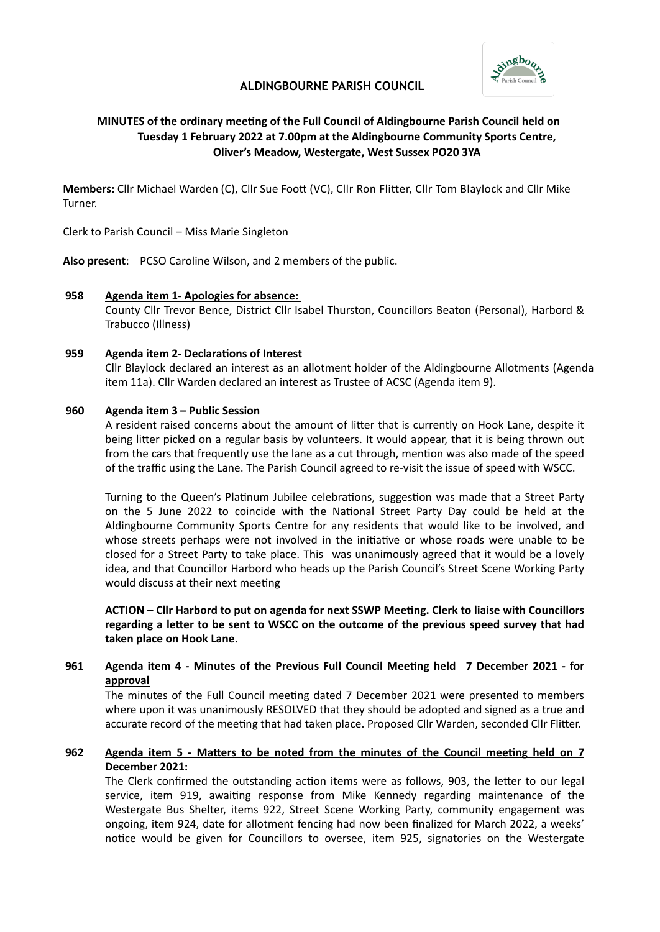

# **ALDINGBOURNE PARISH COUNCIL**

# **MINUTES of the ordinary meeting of the Full Council of Aldingbourne Parish Council held on Tuesday 1 February 2022 at 7.00pm at the Aldingbourne Community Sports Centre, Oliver's Meadow, Westergate, West Sussex PO20 3YA**

**Members:** Cllr Michael Warden (C), Cllr Sue Foot (VC), Cllr Ron Flitter, Cllr Tom Blaylock and Cllr Mike Turner.

Clerk to Parish Council – Miss Marie Singleton

**Also present**: PCSO Caroline Wilson, and 2 members of the public.

#### **958 Agenda item 1- Apologies for absence:**

County Cllr Trevor Bence, District Cllr Isabel Thurston, Councillors Beaton (Personal), Harbord & Trabucco (Illness)

#### **959 Agenda item 2- Declarations of Interest**

Cllr Blaylock declared an interest as an allotment holder of the Aldingbourne Allotments (Agenda item 11a). Cllr Warden declared an interest as Trustee of ACSC (Agenda item 9).

#### **960 Agenda item 3 – Public Session**

A **r**esident raised concerns about the amount of litter that is currently on Hook Lane, despite it being litter picked on a regular basis by volunteers. It would appear, that it is being thrown out from the cars that frequently use the lane as a cut through, mention was also made of the speed of the traffic using the Lane. The Parish Council agreed to re-visit the issue of speed with WSCC.

Turning to the Queen's Platinum Jubilee celebrations, suggestion was made that a Street Party on the 5 June 2022 to coincide with the National Street Party Day could be held at the Aldingbourne Community Sports Centre for any residents that would like to be involved, and whose streets perhaps were not involved in the initiative or whose roads were unable to be closed for a Street Party to take place. This was unanimously agreed that it would be a lovely idea, and that Councillor Harbord who heads up the Parish Council's Street Scene Working Party would discuss at their next meeting

**ACTION – Cllr Harbord to put on agenda for next SSWP Meeting. Clerk to liaise with Councillors regarding a letter to be sent to WSCC on the outcome of the previous speed survey that had taken place on Hook Lane.**

### **961 Agenda item 4 - Minutes of the Previous Full Council Meeting held 7 December 2021 - for approval**

The minutes of the Full Council meeting dated 7 December 2021 were presented to members where upon it was unanimously RESOLVED that they should be adopted and signed as a true and accurate record of the meeting that had taken place. Proposed Cllr Warden, seconded Cllr Flitter.

### **962 Agenda item 5 - Matters to be noted from the minutes of the Council meeting held on 7 December 2021:**

The Clerk confirmed the outstanding action items were as follows, 903, the letter to our legal service, item 919, awaiting response from Mike Kennedy regarding maintenance of the Westergate Bus Shelter, items 922, Street Scene Working Party, community engagement was ongoing, item 924, date for allotment fencing had now been finalized for March 2022, a weeks' notice would be given for Councillors to oversee, item 925, signatories on the Westergate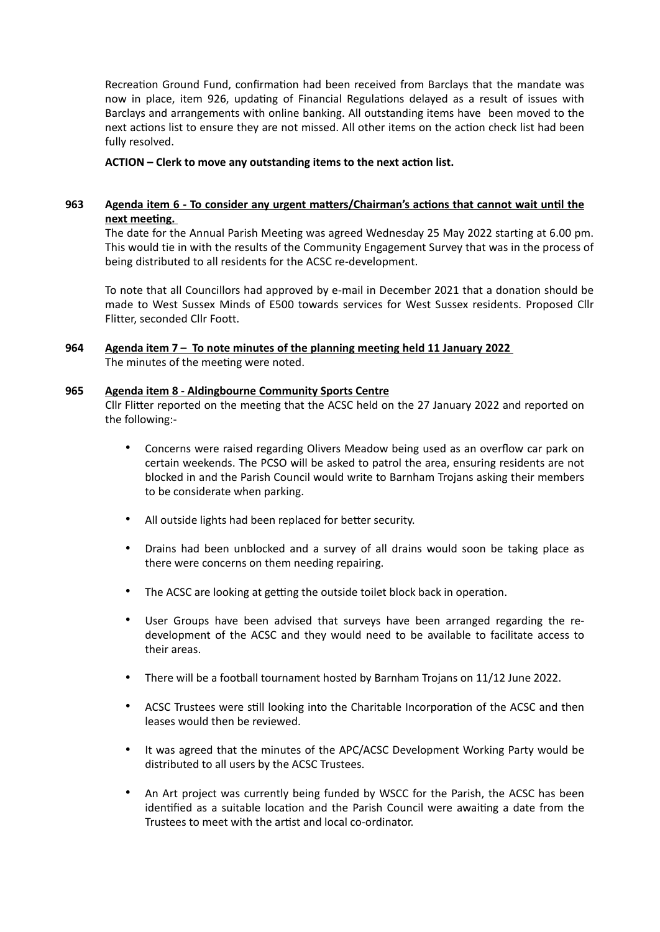Recreation Ground Fund, confirmation had been received from Barclays that the mandate was now in place, item 926, updating of Financial Regulations delayed as a result of issues with Barclays and arrangements with online banking. All outstanding items have been moved to the next actions list to ensure they are not missed. All other items on the action check list had been fully resolved.

## **ACTION – Clerk to move any outstanding items to the next action list.**

# **963 Agenda item 6 - To consider any urgent matters/Chairman's actions that cannot wait until the next meeting.**

The date for the Annual Parish Meeting was agreed Wednesday 25 May 2022 starting at 6.00 pm. This would tie in with the results of the Community Engagement Survey that was in the process of being distributed to all residents for the ACSC re-development.

To note that all Councillors had approved by e-mail in December 2021 that a donation should be made to West Sussex Minds of E500 towards services for West Sussex residents. Proposed Cllr Flitter, seconded Cllr Foott.

**964 Agenda item 7 – To note minutes of the planning meeting held 11 January 2022**

The minutes of the meeting were noted.

### **965 Agenda item 8 - Aldingbourne Community Sports Centre**

Cllr Flitter reported on the meeting that the ACSC held on the 27 January 2022 and reported on the following:-

- Concerns were raised regarding Olivers Meadow being used as an overflow car park on certain weekends. The PCSO will be asked to patrol the area, ensuring residents are not blocked in and the Parish Council would write to Barnham Trojans asking their members to be considerate when parking.
- All outside lights had been replaced for better security.
- Drains had been unblocked and a survey of all drains would soon be taking place as there were concerns on them needing repairing.
- The ACSC are looking at getting the outside toilet block back in operation.
- User Groups have been advised that surveys have been arranged regarding the redevelopment of the ACSC and they would need to be available to facilitate access to their areas.
- There will be a football tournament hosted by Barnham Trojans on 11/12 June 2022.
- ACSC Trustees were still looking into the Charitable Incorporation of the ACSC and then leases would then be reviewed.
- It was agreed that the minutes of the APC/ACSC Development Working Party would be distributed to all users by the ACSC Trustees.
- An Art project was currently being funded by WSCC for the Parish, the ACSC has been identified as a suitable location and the Parish Council were awaiting a date from the Trustees to meet with the artist and local co-ordinator.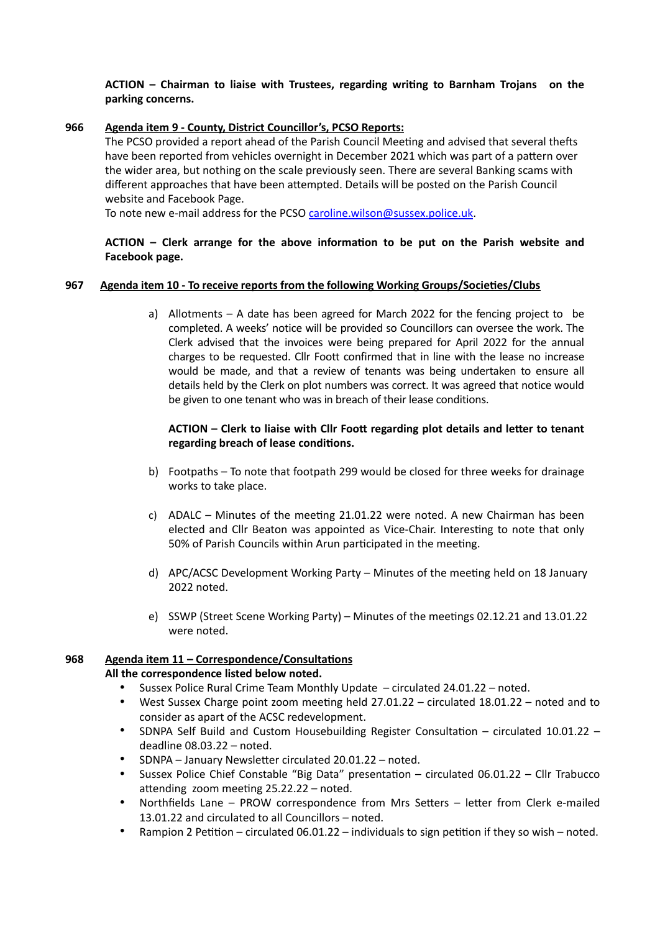# **ACTION – Chairman to liaise with Trustees, regarding writing to Barnham Trojans on the parking concerns.**

## **966 Agenda item 9 - County, District Councillor's, PCSO Reports:**

The PCSO provided a report ahead of the Parish Council Meeting and advised that several thefts have been reported from vehicles overnight in December 2021 which was part of a pattern over the wider area, but nothing on the scale previously seen. There are several Banking scams with different approaches that have been attempted. Details will be posted on the Parish Council website and Facebook Page.

To note new e-mail address for the PCSO [caroline.wilson@sussex.police.uk](mailto:caroline.wilson@sussex.police.uk).

# **ACTION – Clerk arrange for the above information to be put on the Parish website and Facebook page.**

# **967 Agenda item 10 - To receive reports from the following Working Groups/Societies/Clubs**

a) Allotments – A date has been agreed for March 2022 for the fencing project to be completed. A weeks' notice will be provided so Councillors can oversee the work. The Clerk advised that the invoices were being prepared for April 2022 for the annual charges to be requested. Cllr Foott confirmed that in line with the lease no increase would be made, and that a review of tenants was being undertaken to ensure all details held by the Clerk on plot numbers was correct. It was agreed that notice would be given to one tenant who was in breach of their lease conditions.

# **ACTION – Clerk to liaise with Cllr Foott regarding plot details and letter to tenant regarding breach of lease conditions.**

- b) Footpaths To note that footpath 299 would be closed for three weeks for drainage works to take place.
- c) ADALC Minutes of the meeting 21.01.22 were noted. A new Chairman has been elected and Cllr Beaton was appointed as Vice-Chair. Interesting to note that only 50% of Parish Councils within Arun participated in the meeting.
- d) APC/ACSC Development Working Party Minutes of the meeting held on 18 January 2022 noted.
- e) SSWP (Street Scene Working Party) Minutes of the meetings 02.12.21 and 13.01.22 were noted.

#### **968 Agenda item 11 – Correspondence/Consultations All the correspondence listed below noted.**

- Sussex Police Rural Crime Team Monthly Update circulated 24.01.22 noted.
- West Sussex Charge point zoom meeting held 27.01.22 circulated 18.01.22 noted and to consider as apart of the ACSC redevelopment.
- SDNPA Self Build and Custom Housebuilding Register Consultation circulated 10.01.22 deadline 08.03.22 – noted.
- SDNPA January Newsletter circulated 20.01.22 noted.
- Sussex Police Chief Constable "Big Data" presentation circulated 06.01.22 Cllr Trabucco attending zoom meeting 25.22.22 – noted.
- Northfields Lane PROW correspondence from Mrs Setters letter from Clerk e-mailed 13.01.22 and circulated to all Councillors – noted.
- Rampion 2 Petition circulated 06.01.22 individuals to sign petition if they so wish noted.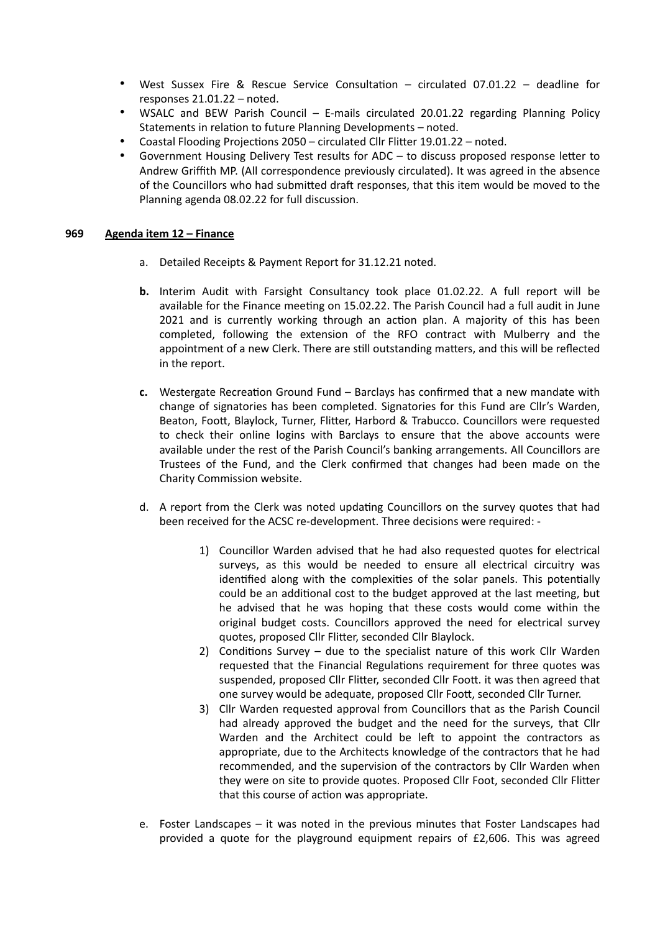- West Sussex Fire & Rescue Service Consultation circulated 07.01.22 deadline for responses 21.01.22 – noted.
- WSALC and BEW Parish Council E-mails circulated 20.01.22 regarding Planning Policy Statements in relation to future Planning Developments – noted.
- Coastal Flooding Projections 2050 circulated Cllr Flitter 19.01.22 noted.
- Government Housing Delivery Test results for ADC to discuss proposed response letter to Andrew Griffith MP. (All correspondence previously circulated). It was agreed in the absence of the Councillors who had submitted draft responses, that this item would be moved to the Planning agenda 08.02.22 for full discussion.

### **969 Agenda item 12 – Finance**

- a. Detailed Receipts & Payment Report for 31.12.21 noted.
- **b.** Interim Audit with Farsight Consultancy took place 01.02.22. A full report will be available for the Finance meeting on 15.02.22. The Parish Council had a full audit in June 2021 and is currently working through an action plan. A majority of this has been completed, following the extension of the RFO contract with Mulberry and the appointment of a new Clerk. There are still outstanding matters, and this will be reflected in the report.
- **c.** Westergate Recreation Ground Fund Barclays has confirmed that a new mandate with change of signatories has been completed. Signatories for this Fund are Cllr's Warden, Beaton, Foott, Blaylock, Turner, Flitter, Harbord & Trabucco. Councillors were requested to check their online logins with Barclays to ensure that the above accounts were available under the rest of the Parish Council's banking arrangements. All Councillors are Trustees of the Fund, and the Clerk confirmed that changes had been made on the Charity Commission website.
- d. A report from the Clerk was noted updating Councillors on the survey quotes that had been received for the ACSC re-development. Three decisions were required: -
	- 1) Councillor Warden advised that he had also requested quotes for electrical surveys, as this would be needed to ensure all electrical circuitry was identified along with the complexities of the solar panels. This potentially could be an additional cost to the budget approved at the last meeting, but he advised that he was hoping that these costs would come within the original budget costs. Councillors approved the need for electrical survey quotes, proposed Cllr Flitter, seconded Cllr Blaylock.
	- 2) Conditions Survey due to the specialist nature of this work Cllr Warden requested that the Financial Regulations requirement for three quotes was suspended, proposed Cllr Flitter, seconded Cllr Foott. it was then agreed that one survey would be adequate, proposed Cllr Foott, seconded Cllr Turner.
	- 3) Cllr Warden requested approval from Councillors that as the Parish Council had already approved the budget and the need for the surveys, that Cllr Warden and the Architect could be left to appoint the contractors as appropriate, due to the Architects knowledge of the contractors that he had recommended, and the supervision of the contractors by Cllr Warden when they were on site to provide quotes. Proposed Cllr Foot, seconded Cllr Flitter that this course of action was appropriate.
- e. Foster Landscapes it was noted in the previous minutes that Foster Landscapes had provided a quote for the playground equipment repairs of £2,606. This was agreed